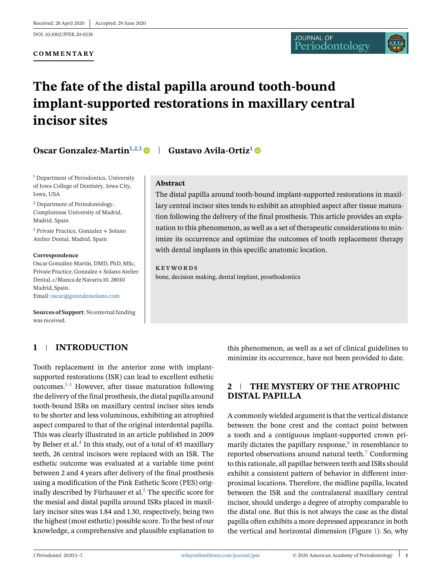#### **COMMENTARY**

# **The fate of the distal papilla around tooth-bound implant-supported restorations in maxillary central incisor sites**

# **Oscar Gonzalez-Martin**<sup>1,2,3</sup> **Gustavo Avila-Ortiz<sup>1</sup> ©**

<sup>1</sup> Department of Periodontics, University of Iowa College of Dentistry, Iowa City, Iowa, USA

<sup>2</sup> Department of Periodontology, Complutense University of Madrid, Madrid, Spain

<sup>3</sup> Private Practice, Gonzalez + Solano Atelier Dental, Madrid, Spain

#### **Correspondence**

Oscar González-Martín, DMD, PhD, MSc, Private Practice, Gonzalez + Solano Atelier Dental, c/Blanca de Navarra 10. 28010 Madrid, Spain. Email: [oscar@gonzalezsolano.com](mailto:oscar@gonzalezsolano.com)

**Sources of Support**: No external funding was received.

## **1 INTRODUCTION**

Tooth replacement in the anterior zone with implantsupported restorations (ISR) can lead to excellent esthetic outcomes.1-3 However, after tissue maturation following the delivery of the final prosthesis, the distal papilla around tooth-bound ISRs on maxillary central incisor sites tends to be shorter and less voluminous, exhibiting an atrophied aspect compared to that of the original interdental papilla. This was clearly illustrated in an article published in 2009 by Belser et al.<sup>4</sup> In this study, out of a total of 45 maxillary teeth, 26 central incisors were replaced with an ISR. The esthetic outcome was evaluated at a variable time point between 2 and 4 years after delivery of the final prosthesis using a modification of the Pink Esthetic Score (PES) originally described by Fürhauser et al.<sup>5</sup> The specific score for the mesial and distal papilla around ISRs placed in maxillary incisor sites was 1.84 and 1.30, respectively, being two the highest (most esthetic) possible score. To the best of our knowledge, a comprehensive and plausible explanation to

#### **Abstract**

The distal papilla around tooth-bound implant-supported restorations in maxillary central incisor sites tends to exhibit an atrophied aspect after tissue maturation following the delivery of the final prosthesis. This article provides an explanation to this phenomenon, as well as a set of therapeutic considerations to minimize its occurrence and optimize the outcomes of tooth replacement therapy with dental implants in this specific anatomic location.

**KEYWORDS** bone, decision making, dental implant, prosthodontics

> this phenomenon, as well as a set of clinical guidelines to minimize its occurrence, have not been provided to date.

## **2 THE MYSTERY OF THE ATROPHIC DISTAL PAPILLA**

A commonly wielded argument is that the vertical distance between the bone crest and the contact point between a tooth and a contiguous implant-supported crown primarily dictates the papillary response, $6$  in resemblance to reported observations around natural teeth.7 Conforming to this rationale, all papillae between teeth and ISRs should exhibit a consistent pattern of behavior in different interproximal locations. Therefore, the midline papilla, located between the ISR and the contralateral maxillary central incisor, should undergo a degree of atrophy comparable to the distal one. But this is not always the case as the distal papilla often exhibits a more depressed appearance in both the vertical and horizontal dimension (Figure [1\)](#page-1-0). So, why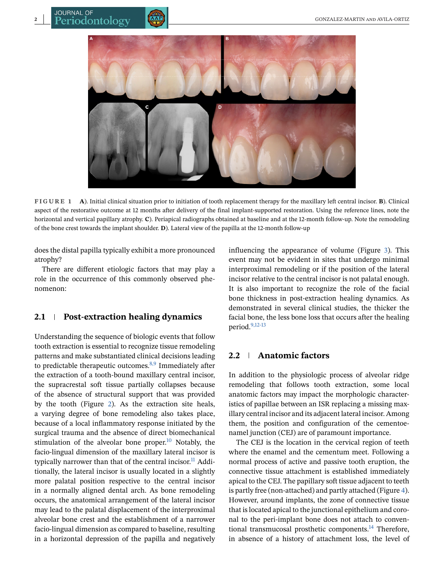<span id="page-1-0"></span>

**FIGURE 1 A**). Initial clinical situation prior to initiation of tooth replacement therapy for the maxillary left central incisor. **B**). Clinical aspect of the restorative outcome at 12 months after delivery of the final implant-supported restoration. Using the reference lines, note the horizontal and vertical papillary atrophy. **C**). Periapical radiographs obtained at baseline and at the 12-month follow-up. Note the remodeling of the bone crest towards the implant shoulder. **D**). Lateral view of the papilla at the 12-month follow-up

does the distal papilla typically exhibit a more pronounced atrophy?

There are different etiologic factors that may play a role in the occurrence of this commonly observed phenomenon:

#### **2.1 Post-extraction healing dynamics**

Understanding the sequence of biologic events that follow tooth extraction is essential to recognize tissue remodeling patterns and make substantiated clinical decisions leading to predictable therapeutic outcomes. $8,9$  Immediately after the extraction of a tooth-bound maxillary central incisor, the supracrestal soft tissue partially collapses because of the absence of structural support that was provided by the tooth (Figure [2\)](#page-2-0). As the extraction site heals, a varying degree of bone remodeling also takes place, because of a local inflammatory response initiated by the surgical trauma and the absence of direct biomechanical stimulation of the alveolar bone proper. $10$  Notably, the facio-lingual dimension of the maxillary lateral incisor is typically narrower than that of the central incisor.<sup>11</sup> Additionally, the lateral incisor is usually located in a slightly more palatal position respective to the central incisor in a normally aligned dental arch. As bone remodeling occurs, the anatomical arrangement of the lateral incisor may lead to the palatal displacement of the interproximal alveolar bone crest and the establishment of a narrower facio-lingual dimension as compared to baseline, resulting in a horizontal depression of the papilla and negatively influencing the appearance of volume (Figure [3\)](#page-2-0). This event may not be evident in sites that undergo minimal interproximal remodeling or if the position of the lateral incisor relative to the central incisor is not palatal enough. It is also important to recognize the role of the facial bone thickness in post-extraction healing dynamics. As demonstrated in several clinical studies, the thicker the facial bone, the less bone loss that occurs after the healing period.9,12-13

## **2.2 Anatomic factors**

In addition to the physiologic process of alveolar ridge remodeling that follows tooth extraction, some local anatomic factors may impact the morphologic characteristics of papillae between an ISR replacing a missing maxillary central incisor and its adjacent lateral incisor. Among them, the position and configuration of the cementoenamel junction (CEJ) are of paramount importance.

The CEJ is the location in the cervical region of teeth where the enamel and the cementum meet. Following a normal process of active and passive tooth eruption, the connective tissue attachment is established immediately apical to the CEJ. The papillary soft tissue adjacent to teeth is partly free (non-attached) and partly attached (Figure [4\)](#page-3-0). However, around implants, the zone of connective tissue that is located apical to the junctional epithelium and coronal to the peri-implant bone does not attach to conventional transmucosal prosthetic components.<sup>14</sup> Therefore, in absence of a history of attachment loss, the level of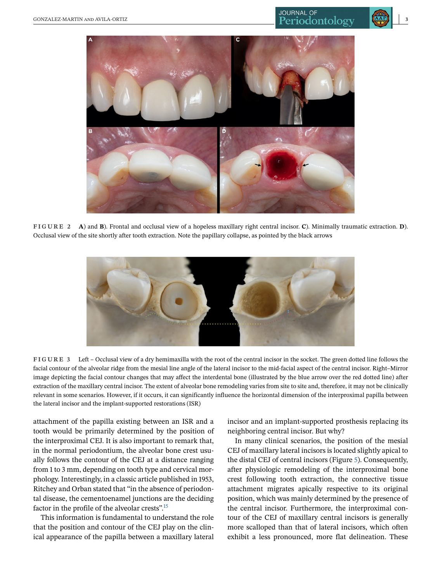<span id="page-2-0"></span>

**FIGURE 2 A**) and **B**). Frontal and occlusal view of a hopeless maxillary right central incisor. **C**). Minimally traumatic extraction. **D**). Occlusal view of the site shortly after tooth extraction. Note the papillary collapse, as pointed by the black arrows



**FIGURE 3** Left – Occlusal view of a dry hemimaxilla with the root of the central incisor in the socket. The green dotted line follows the facial contour of the alveolar ridge from the mesial line angle of the lateral incisor to the mid-facial aspect of the central incisor. Right–Mirror image depicting the facial contour changes that may affect the interdental bone (illustrated by the blue arrow over the red dotted line) after extraction of the maxillary central incisor. The extent of alveolar bone remodeling varies from site to site and, therefore, it may not be clinically relevant in some scenarios. However, if it occurs, it can significantly influence the horizontal dimension of the interproximal papilla between the lateral incisor and the implant-supported restorations (ISR)

attachment of the papilla existing between an ISR and a tooth would be primarily determined by the position of the interproximal CEJ. It is also important to remark that, in the normal periodontium, the alveolar bone crest usually follows the contour of the CEJ at a distance ranging from 1 to 3 mm, depending on tooth type and cervical morphology. Interestingly, in a classic article published in 1953, Ritchey and Orban stated that "in the absence of periodontal disease, the cementoenamel junctions are the deciding factor in the profile of the alveolar crests".15

This information is fundamental to understand the role that the position and contour of the CEJ play on the clinical appearance of the papilla between a maxillary lateral incisor and an implant-supported prosthesis replacing its neighboring central incisor. But why?

In many clinical scenarios, the position of the mesial CEJ of maxillary lateral incisors is located slightly apical to the distal CEJ of central incisors (Figure [5\)](#page-4-0). Consequently, after physiologic remodeling of the interproximal bone crest following tooth extraction, the connective tissue attachment migrates apically respective to its original position, which was mainly determined by the presence of the central incisor. Furthermore, the interproximal contour of the CEJ of maxillary central incisors is generally more scalloped than that of lateral incisors, which often exhibit a less pronounced, more flat delineation. These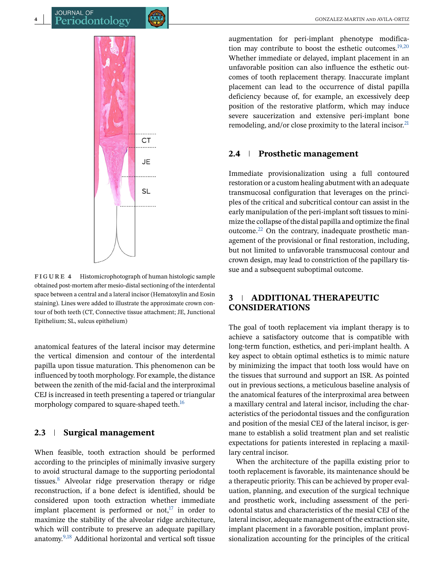<span id="page-3-0"></span>

**FIGURE 4** Histomicrophotograph of human histologic sample obtained post-mortem after mesio-distal sectioning of the interdental space between a central and a lateral incisor (Hematoxylin and Eosin staining). Lines were added to illustrate the approximate crown contour of both teeth (CT, Connective tissue attachment; JE, Junctional Epithelium; SL, sulcus epithelium)

anatomical features of the lateral incisor may determine the vertical dimension and contour of the interdental papilla upon tissue maturation. This phenomenon can be influenced by tooth morphology. For example, the distance between the zenith of the mid-facial and the interproximal CEJ is increased in teeth presenting a tapered or triangular morphology compared to square-shaped teeth.<sup>16</sup>

#### **2.3 Surgical management**

When feasible, tooth extraction should be performed according to the principles of minimally invasive surgery to avoid structural damage to the supporting periodontal tissues.8 Alveolar ridge preservation therapy or ridge reconstruction, if a bone defect is identified, should be considered upon tooth extraction whether immediate implant placement is performed or not, $17$  in order to maximize the stability of the alveolar ridge architecture, which will contribute to preserve an adequate papillary anatomy.9,18 Additional horizontal and vertical soft tissue

augmentation for peri-implant phenotype modification may contribute to boost the esthetic outcomes. $19,20$ Whether immediate or delayed, implant placement in an unfavorable position can also influence the esthetic outcomes of tooth replacement therapy. Inaccurate implant placement can lead to the occurrence of distal papilla deficiency because of, for example, an excessively deep position of the restorative platform, which may induce severe saucerization and extensive peri-implant bone remodeling, and/or close proximity to the lateral incisor. $^{21}$ 

#### **2.4 Prosthetic management**

Immediate provisionalization using a full contoured restoration or a custom healing abutment with an adequate transmucosal configuration that leverages on the principles of the critical and subcritical contour can assist in the early manipulation of the peri-implant soft tissues to minimize the collapse of the distal papilla and optimize the final outcome. $^{22}$  On the contrary, inadequate prosthetic management of the provisional or final restoration, including, but not limited to unfavorable transmucosal contour and crown design, may lead to constriction of the papillary tissue and a subsequent suboptimal outcome.

## **3 ADDITIONAL THERAPEUTIC CONSIDERATIONS**

The goal of tooth replacement via implant therapy is to achieve a satisfactory outcome that is compatible with long-term function, esthetics, and peri-implant health. A key aspect to obtain optimal esthetics is to mimic nature by minimizing the impact that tooth loss would have on the tissues that surround and support an ISR. As pointed out in previous sections, a meticulous baseline analysis of the anatomical features of the interproximal area between a maxillary central and lateral incisor, including the characteristics of the periodontal tissues and the configuration and position of the mesial CEJ of the lateral incisor, is germane to establish a solid treatment plan and set realistic expectations for patients interested in replacing a maxillary central incisor.

When the architecture of the papilla existing prior to tooth replacement is favorable, its maintenance should be a therapeutic priority. This can be achieved by proper evaluation, planning, and execution of the surgical technique and prosthetic work, including assessment of the periodontal status and characteristics of the mesial CEJ of the lateral incisor, adequate management of the extraction site, implant placement in a favorable position, implant provisionalization accounting for the principles of the critical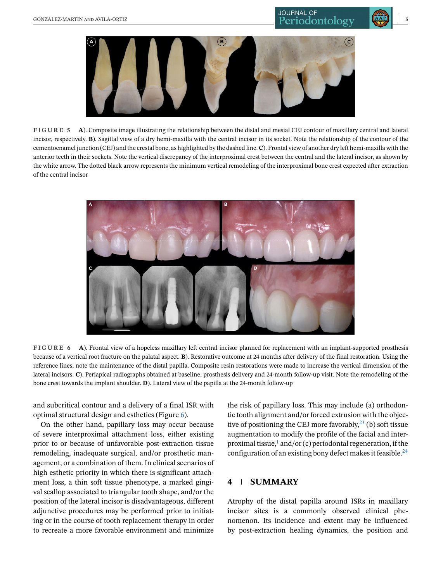<span id="page-4-0"></span>

**FIGURE 5 A**). Composite image illustrating the relationship between the distal and mesial CEJ contour of maxillary central and lateral incisor, respectively. **B**). Sagittal view of a dry hemi-maxilla with the central incisor in its socket. Note the relationship of the contour of the cementoenamel junction (CEJ) and the crestal bone, as highlighted by the dashed line.**C**). Frontal view of another dry left hemi-maxilla with the anterior teeth in their sockets. Note the vertical discrepancy of the interproximal crest between the central and the lateral incisor, as shown by the white arrow. The dotted black arrow represents the minimum vertical remodeling of the interproximal bone crest expected after extraction of the central incisor



**FIGURE 6 A**). Frontal view of a hopeless maxillary left central incisor planned for replacement with an implant-supported prosthesis because of a vertical root fracture on the palatal aspect. **B**). Restorative outcome at 24 months after delivery of the final restoration. Using the reference lines, note the maintenance of the distal papilla. Composite resin restorations were made to increase the vertical dimension of the lateral incisors. **C**). Periapical radiographs obtained at baseline, prosthesis delivery and 24-month follow-up visit. Note the remodeling of the bone crest towards the implant shoulder. **D**). Lateral view of the papilla at the 24-month follow-up

and subcritical contour and a delivery of a final ISR with optimal structural design and esthetics (Figure 6).

On the other hand, papillary loss may occur because of severe interproximal attachment loss, either existing prior to or because of unfavorable post-extraction tissue remodeling, inadequate surgical, and/or prosthetic management, or a combination of them. In clinical scenarios of high esthetic priority in which there is significant attachment loss, a thin soft tissue phenotype, a marked gingival scallop associated to triangular tooth shape, and/or the position of the lateral incisor is disadvantageous, different adjunctive procedures may be performed prior to initiating or in the course of tooth replacement therapy in order to recreate a more favorable environment and minimize

the risk of papillary loss. This may include (a) orthodontic tooth alignment and/or forced extrusion with the objective of positioning the CEJ more favorably,  $^{23}$  (b) soft tissue augmentation to modify the profile of the facial and interproximal tissue, $\frac{1}{2}$  and/or (c) periodontal regeneration, if the configuration of an existing bony defect makes it feasible.<sup>24</sup>

## **4 SUMMARY**

Atrophy of the distal papilla around ISRs in maxillary incisor sites is a commonly observed clinical phenomenon. Its incidence and extent may be influenced by post-extraction healing dynamics, the position and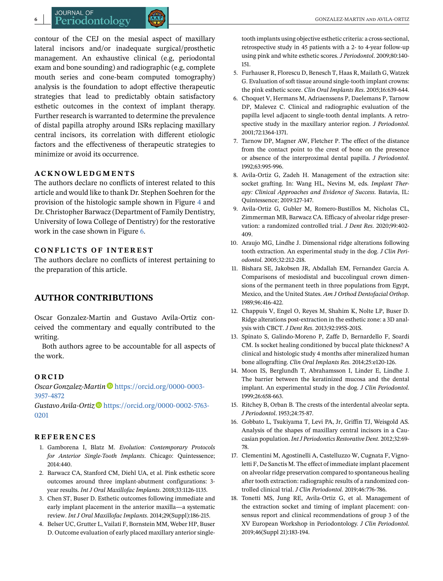contour of the CEJ on the mesial aspect of maxillary lateral incisors and/or inadequate surgical/prosthetic management. An exhaustive clinical (e.g, periodontal exam and bone sounding) and radiographic (e.g, complete mouth series and cone-beam computed tomography) analysis is the foundation to adopt effective therapeutic strategies that lead to predictably obtain satisfactory esthetic outcomes in the context of implant therapy. Further research is warranted to determine the prevalence of distal papilla atrophy around ISRs replacing maxillary central incisors, its correlation with different etiologic factors and the effectiveness of therapeutic strategies to minimize or avoid its occurrence.

#### **ACKNOWLEDGMENTS**

The authors declare no conflicts of interest related to this article and would like to thank Dr. Stephen Soehren for the provision of the histologic sample shown in Figure [4](#page-3-0) and Dr. Christopher Barwacz (Department of Family Dentistry, University of Iowa College of Dentistry) for the restorative work in the case shown in Figure [6.](#page-4-0)

#### **CONFLICTS OF INTEREST**

The authors declare no conflicts of interest pertaining to the preparation of this article.

## **AUTHOR CONTRIBUTIONS**

Oscar Gonzalez-Martin and Gustavo Avila-Ortiz conceived the commentary and equally contributed to the writing.

Both authors agree to be accountable for all aspects of the work.

#### **ORCID**

*Oscar Gonzalez-Martin* D[https://orcid.org/0000-0003-](https://orcid.org/0000-0003-3957-4872) [3957-4872](https://orcid.org/0000-0003-3957-4872)

Gustavo Avila-Ortiz<sup>O</sup> [https://orcid.org/0000-0002-5763-](https://orcid.org/0000-0002-5763-0201) [0201](https://orcid.org/0000-0002-5763-0201)

### **REFERENCES**

- 1. Gamborena I, Blatz M. *Evolution: Contemporary Protocols for Anterior Single-Tooth Implants*. Chicago: Quintessence; 2014:440.
- 2. Barwacz CA, Stanford CM, Diehl UA, et al. Pink esthetic score outcomes around three implant-abutment configurations: 3 year results. *Int J Oral Maxillofac Implants*. 2018;33:1126-1135.
- 3. Chen ST, Buser D. Esthetic outcomes following immediate and early implant placement in the anterior maxilla—a systematic review. *Int J Oral Maxillofac Implants*. 2014;29(Suppl):186-215.
- 4. Belser UC, Grutter L, Vailati F, Bornstein MM, Weber HP, Buser D. Outcome evaluation of early placed maxillary anterior single-

tooth implants using objective esthetic criteria: a cross-sectional, retrospective study in 45 patients with a 2- to 4-year follow-up using pink and white esthetic scores. *J Periodontol*. 2009;80:140- 151.

- 5. Furhauser R, Florescu D, Benesch T, Haas R, Mailath G, Watzek G. Evaluation of soft tissue around single-tooth implant crowns: the pink esthetic score. *Clin Oral Implants Res*. 2005;16:639-644.
- 6. Choquet V, Hermans M, Adriaenssens P, Daelemans P, Tarnow DP, Malevez C. Clinical and radiographic evaluation of the papilla level adjacent to single-tooth dental implants. A retrospective study in the maxillary anterior region. *J Periodontol*. 2001;72:1364-1371.
- 7. Tarnow DP, Magner AW, Fletcher P. The effect of the distance from the contact point to the crest of bone on the presence or absence of the interproximal dental papilla. *J Periodontol*. 1992;63:995-996.
- 8. Avila-Ortiz G, Zadeh H. Management of the extraction site: socket grafting. In: Wang HL, Nevins M, eds. *Implant Therapy: Clinical Approaches and Evidence of Success*. Batavia, IL: Quintessence; 2019:127-147.
- 9. Avila-Ortiz G, Gubler M, Romero-Bustillos M, Nicholas CL, Zimmerman MB, Barwacz CA. Efficacy of alveolar ridge preservation: a randomized controlled trial. *J Dent Res*. 2020;99:402- 409.
- 10. Araujo MG, Lindhe J. Dimensional ridge alterations following tooth extraction. An experimental study in the dog. *J Clin Periodontol*. 2005;32:212-218.
- 11. Bishara SE, Jakobsen JR, Abdallah EM, Fernandez Garcia A. Comparisons of mesiodistal and buccolingual crown dimensions of the permanent teeth in three populations from Egypt, Mexico, and the United States. *Am J Orthod Dentofacial Orthop*. 1989;96:416-422.
- 12. Chappuis V, Engel O, Reyes M, Shahim K, Nolte LP, Buser D. Ridge alterations post-extraction in the esthetic zone: a 3D analysis with CBCT. *J Dent Res*. 2013;92:195S-201S.
- 13. Spinato S, Galindo-Moreno P, Zaffe D, Bernardello F, Soardi CM. Is socket healing conditioned by buccal plate thickness? A clinical and histologic study 4 months after mineralized human bone allografting. *Clin Oral Implants Res*. 2014;25:e120-126.
- 14. Moon IS, Berglundh T, Abrahamsson I, Linder E, Lindhe J. The barrier between the keratinized mucosa and the dental implant. An experimental study in the dog. *J Clin Periodontol*. 1999;26:658-663.
- 15. Ritchey B, Orban B. The crests of the interdental alveolar septa. *J Periodontol*. 1953;24:75-87.
- 16. Gobbato L, Tsukiyama T, Levi PA, Jr, Griffin TJ, Weisgold AS. Analysis of the shapes of maxillary central incisors in a Caucasian population. *Int J Periodontics Restorative Dent*. 2012;32:69- 78.
- 17. Clementini M, Agostinelli A, Castelluzzo W, Cugnata F, Vignoletti F, De Sanctis M. The effect of immediate implant placement on alveolar ridge preservation compared to spontaneous healing after tooth extraction: radiographic results of a randomized controlled clinical trial. *J Clin Periodontol*. 2019;46:776-786.
- 18. Tonetti MS, Jung RE, Avila-Ortiz G, et al. Management of the extraction socket and timing of implant placement: consensus report and clinical recommendations of group 3 of the XV European Workshop in Periodontology. *J Clin Periodontol*. 2019;46(Suppl 21):183-194.